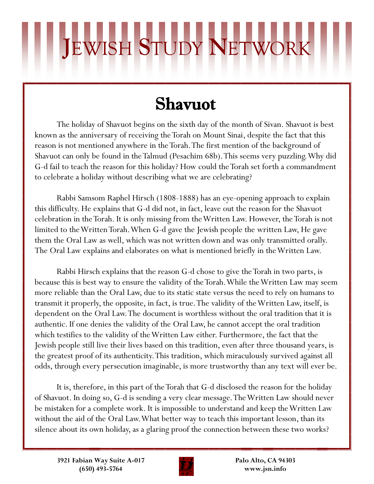## **J**EWISH **S**TUDY **N**ETWORK

## Shavuot

The holiday of Shavuot begins on the sixth day of the month of Sivan. Shavuot is best known as the anniversary of receiving the Torah on Mount Sinai, despite the fact that this reason is not mentioned anywhere in the Torah. The first mention of the background of Shavuot can only be found in the Talmud (Pesachim 68b). This seems very puzzling. Why did G-d fail to teach the reason for this holiday? How could the Torah set forth a commandment to celebrate a holiday without describing what we are celebrating?

Rabbi Samsom Raphel Hirsch (1808-1888) has an eye-opening approach to explain this difficulty. He explains that G-d did not, in fact, leave out the reason for the Shavuot celebration in the Torah. It is only missing from the Written Law. However, the Torah is not limited to the Written Torah. When G-d gave the Jewish people the written Law, He gave them the Oral Law as well, which was not written down and was only transmitted orally. The Oral Law explains and elaborates on what is mentioned briefly in the Written Law.

Rabbi Hirsch explains that the reason G-d chose to give the Torah in two parts, is because this is best way to ensure the validity of the Torah. While the Written Law may seem more reliable than the Oral Law, due to its static state versus the need to rely on humans to transmit it properly, the opposite, in fact, is true. The validity of the Written Law, itself, is dependent on the Oral Law. The document is worthless without the oral tradition that it is authentic. If one denies the validity of the Oral Law, he cannot accept the oral tradition which testifies to the validity of the Written Law either. Furthermore, the fact that the Jewish people still live their lives based on this tradition, even after three thousand years, is the greatest proof of its authenticity. This tradition, which miraculously survived against all odds, through every persecution imaginable, is more trustworthy than any text will ever be.

It is, therefore, in this part of the Torah that G-d disclosed the reason for the holiday of Shavuot. In doing so, G-d is sending a very clear message. The Written Law should never be mistaken for a complete work. It is impossible to understand and keep the Written Law without the aid of the Oral Law. What better way to teach this important lesson, than its silence about its own holiday, as a glaring proof the connection between these two works?